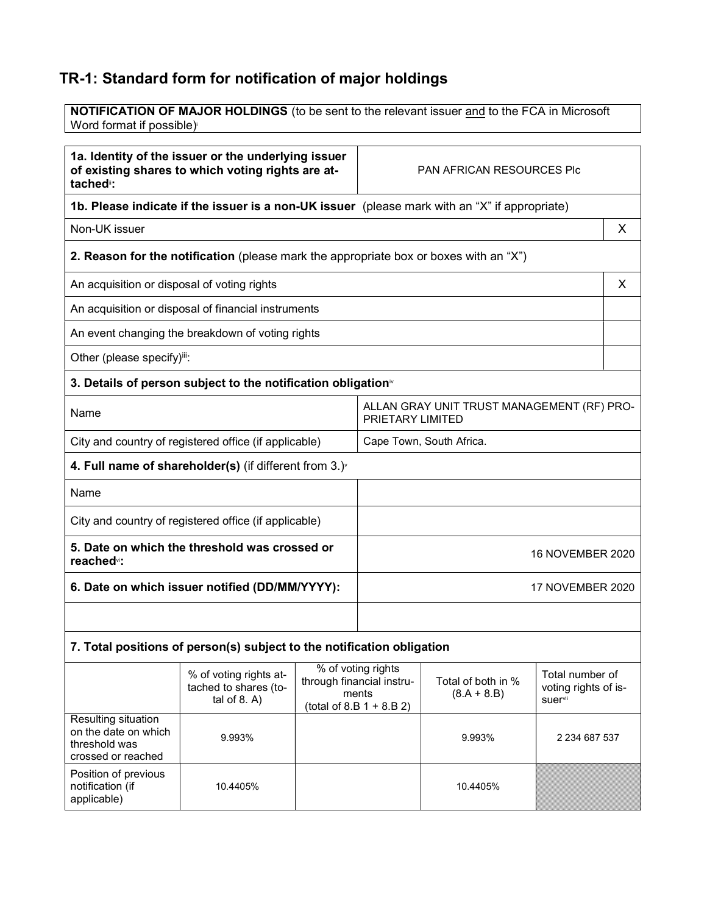## TR-1: Standard form for notification of major holdings

| NOTIFICATION OF MAJOR HOLDINGS (to be sent to the relevant issuer and to the FCA in Microsoft<br>Word format if possible)         |                                                                |   |
|-----------------------------------------------------------------------------------------------------------------------------------|----------------------------------------------------------------|---|
| 1a. Identity of the issuer or the underlying issuer<br>of existing shares to which voting rights are at-<br>tached <sup>"</sup> : | PAN AFRICAN RESOURCES Plc                                      |   |
| 1b. Please indicate if the issuer is a non-UK issuer (please mark with an "X" if appropriate)                                     |                                                                |   |
| Non-UK issuer                                                                                                                     |                                                                | X |
| 2. Reason for the notification (please mark the appropriate box or boxes with an "X")                                             |                                                                |   |
| An acquisition or disposal of voting rights                                                                                       |                                                                | X |
| An acquisition or disposal of financial instruments                                                                               |                                                                |   |
| An event changing the breakdown of voting rights                                                                                  |                                                                |   |
| Other (please specify)iii:                                                                                                        |                                                                |   |
| 3. Details of person subject to the notification obligation <sup>®</sup>                                                          |                                                                |   |
| Name                                                                                                                              | ALLAN GRAY UNIT TRUST MANAGEMENT (RF) PRO-<br>PRIETARY LIMITED |   |
| City and country of registered office (if applicable)                                                                             | Cape Town, South Africa.                                       |   |
| 4. Full name of shareholder(s) (if different from 3.)                                                                             |                                                                |   |
| Name                                                                                                                              |                                                                |   |
| City and country of registered office (if applicable)                                                                             |                                                                |   |
| 5. Date on which the threshold was crossed or<br>reached <sup>v</sup> :                                                           | 16 NOVEMBER 2020                                               |   |
| 6. Date on which issuer notified (DD/MM/YYYY):                                                                                    | 17 NOVEMBER 2020                                               |   |
|                                                                                                                                   |                                                                |   |
| 7. Total positions of person(s) subject to the notification obligation                                                            |                                                                |   |
|                                                                                                                                   |                                                                |   |

|                                                                                    | % of voting rights at-<br>tached to shares (to-<br>tal of $8. A$ ) | % of voting rights<br>through financial instru-<br>ments<br>$(total of 8.B 1 + 8.B 2)$ | Total of both in %<br>$(8.A + 8.B)$ | Total number of<br>voting rights of is-<br><b>suer</b> <sup>vii</sup> |
|------------------------------------------------------------------------------------|--------------------------------------------------------------------|----------------------------------------------------------------------------------------|-------------------------------------|-----------------------------------------------------------------------|
| Resulting situation<br>on the date on which<br>threshold was<br>crossed or reached | 9.993%                                                             |                                                                                        | 9.993%                              | 2 2 3 4 6 8 7 5 3 7                                                   |
| Position of previous<br>notification (if<br>applicable)                            | 10.4405%                                                           |                                                                                        | 10.4405%                            |                                                                       |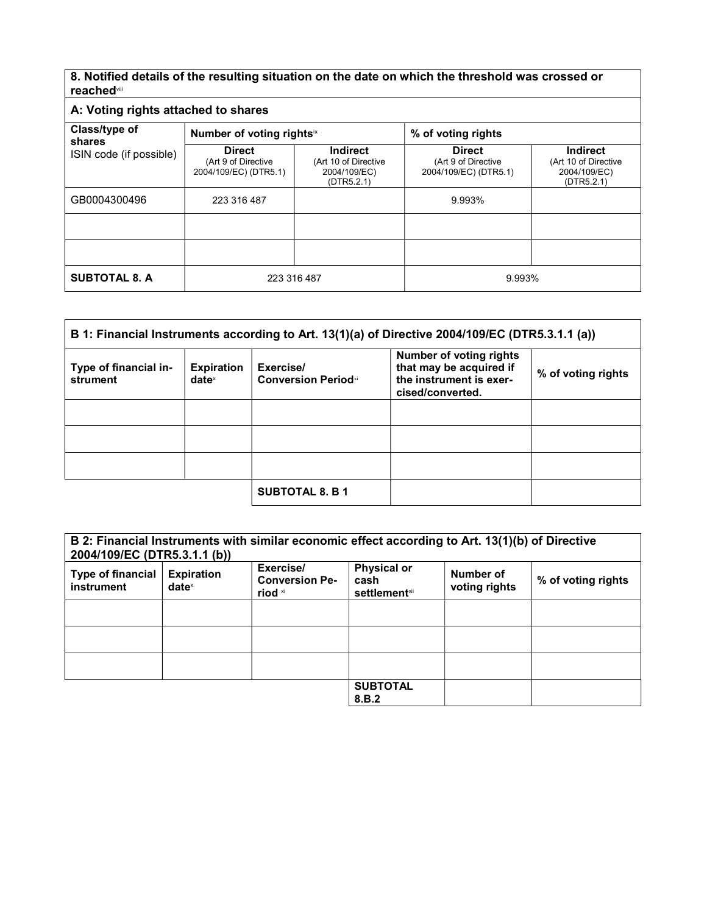8. Notified details of the resulting situation on the date on which the threshold was crossed or reachedviii

| A: Voting rights attached to shares                |                                                               |                                                                       |                                                               |                                                                       |
|----------------------------------------------------|---------------------------------------------------------------|-----------------------------------------------------------------------|---------------------------------------------------------------|-----------------------------------------------------------------------|
| Class/type of<br>shares<br>ISIN code (if possible) | Number of voting rightsix                                     |                                                                       | % of voting rights                                            |                                                                       |
|                                                    | <b>Direct</b><br>(Art 9 of Directive<br>2004/109/EC) (DTR5.1) | <b>Indirect</b><br>(Art 10 of Directive<br>2004/109/EC)<br>(DTR5.2.1) | <b>Direct</b><br>(Art 9 of Directive<br>2004/109/EC) (DTR5.1) | <b>Indirect</b><br>(Art 10 of Directive<br>2004/109/EC)<br>(DTR5.2.1) |
| GB0004300496                                       | 223 316 487                                                   |                                                                       | 9.993%                                                        |                                                                       |
|                                                    |                                                               |                                                                       |                                                               |                                                                       |
|                                                    |                                                               |                                                                       |                                                               |                                                                       |
| <b>SUBTOTAL 8. A</b>                               | 223 316 487                                                   |                                                                       | 9.993%                                                        |                                                                       |

| B 1: Financial Instruments according to Art. 13(1)(a) of Directive 2004/109/EC (DTR5.3.1.1 (a)) |                                      |                                         |                                                                                                          |                    |
|-------------------------------------------------------------------------------------------------|--------------------------------------|-----------------------------------------|----------------------------------------------------------------------------------------------------------|--------------------|
| Type of financial in-<br>strument                                                               | <b>Expiration</b><br>$date^{\times}$ | Exercise/<br><b>Conversion Periodxi</b> | <b>Number of voting rights</b><br>that may be acquired if<br>the instrument is exer-<br>cised/converted. | % of voting rights |
|                                                                                                 |                                      |                                         |                                                                                                          |                    |
|                                                                                                 |                                      |                                         |                                                                                                          |                    |
|                                                                                                 |                                      |                                         |                                                                                                          |                    |
|                                                                                                 |                                      | <b>SUBTOTAL 8. B 1</b>                  |                                                                                                          |                    |

| B 2: Financial Instruments with similar economic effect according to Art. 13(1)(b) of Directive<br>2004/109/EC (DTR5.3.1.1 (b)) |                                      |                                               |                                                     |                            |                    |
|---------------------------------------------------------------------------------------------------------------------------------|--------------------------------------|-----------------------------------------------|-----------------------------------------------------|----------------------------|--------------------|
| <b>Type of financial</b><br>instrument                                                                                          | <b>Expiration</b><br>$date^{\times}$ | Exercise/<br><b>Conversion Pe-</b><br>riod xi | <b>Physical or</b><br>cash<br><b>settlement</b> xii | Number of<br>voting rights | % of voting rights |
|                                                                                                                                 |                                      |                                               |                                                     |                            |                    |
|                                                                                                                                 |                                      |                                               |                                                     |                            |                    |
|                                                                                                                                 |                                      |                                               |                                                     |                            |                    |
|                                                                                                                                 |                                      |                                               | <b>SUBTOTAL</b><br>8.B.2                            |                            |                    |